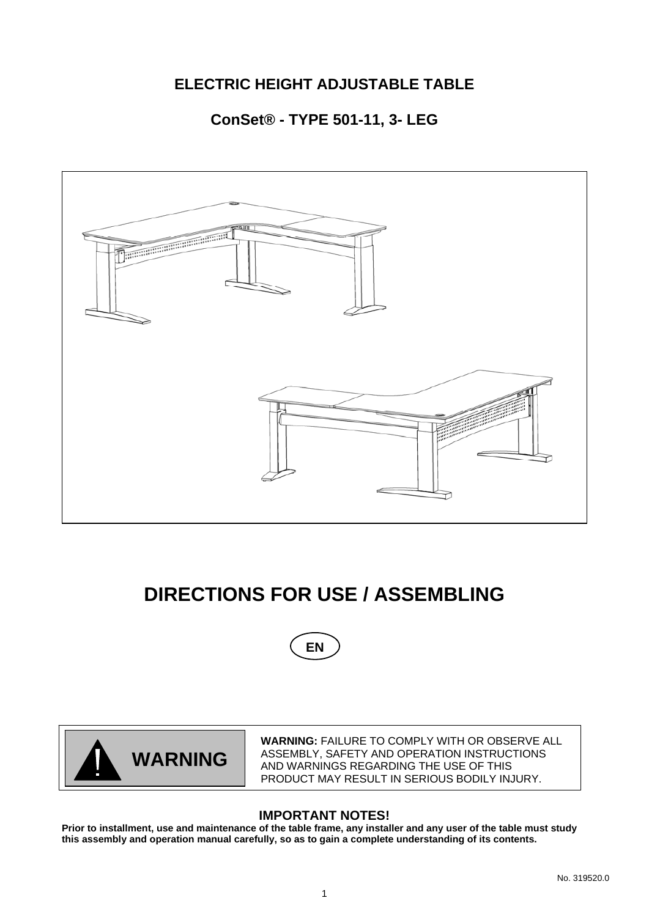# **ELECTRIC HEIGHT ADJUSTABLE TABLE**

# **ConSet® - TYPE 501-11, 3- LEG**



# **DIRECTIONS FOR USE / ASSEMBLING**





**WARNING:** FAILURE TO COMPLY WITH OR OBSERVE ALL ASSEMBLY, SAFETY AND OPERATION INSTRUCTIONS AND WARNINGS REGARDING THE USE OF THIS PRODUCT MAY RESULT IN SERIOUS BODILY INJURY.

## **IMPORTANT NOTES!**

**Prior to installment, use and maintenance of the table frame, any installer and any user of the table must study this assembly and operation manual carefully, so as to gain a complete understanding of its contents.**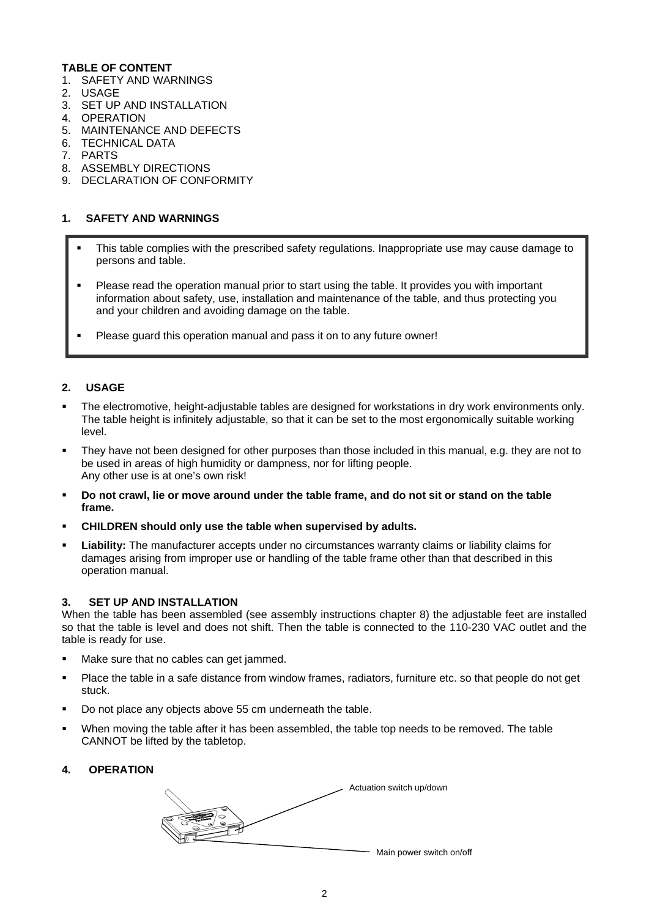#### **TABLE OF CONTENT**

- 1. SAFETY AND WARNINGS
- 2. USAGE
- 3. SET UP AND INSTALLATION
- 4. OPERATION
- 5. MAINTENANCE AND DEFECTS
- 6. TECHNICAL DATA
- 7. PARTS
- 8. ASSEMBLY DIRECTIONS
- 9. DECLARATION OF CONFORMITY

#### **1. SAFETY AND WARNINGS**

- This table complies with the prescribed safety regulations. Inappropriate use may cause damage to persons and table.
- Please read the operation manual prior to start using the table. It provides you with important information about safety, use, installation and maintenance of the table, and thus protecting you and your children and avoiding damage on the table.
- Please guard this operation manual and pass it on to any future owner!

#### **2. USAGE**

- The electromotive, height-adjustable tables are designed for workstations in dry work environments only. The table height is infinitely adjustable, so that it can be set to the most ergonomically suitable working level.
- They have not been designed for other purposes than those included in this manual, e.g. they are not to be used in areas of high humidity or dampness, nor for lifting people. Any other use is at one's own risk!
- **Do not crawl, lie or move around under the table frame, and do not sit or stand on the table frame.**
- **CHILDREN should only use the table when supervised by adults.**
- **Liability:** The manufacturer accepts under no circumstances warranty claims or liability claims for damages arising from improper use or handling of the table frame other than that described in this operation manual.

#### **3. SET UP AND INSTALLATION**

When the table has been assembled (see assembly instructions chapter 8) the adjustable feet are installed so that the table is level and does not shift. Then the table is connected to the 110-230 VAC outlet and the table is ready for use.

- Make sure that no cables can get jammed.
- Place the table in a safe distance from window frames, radiators, furniture etc. so that people do not get stuck.
- Do not place any objects above 55 cm underneath the table.
- When moving the table after it has been assembled, the table top needs to be removed. The table CANNOT be lifted by the tabletop.

#### **4. OPERATION**

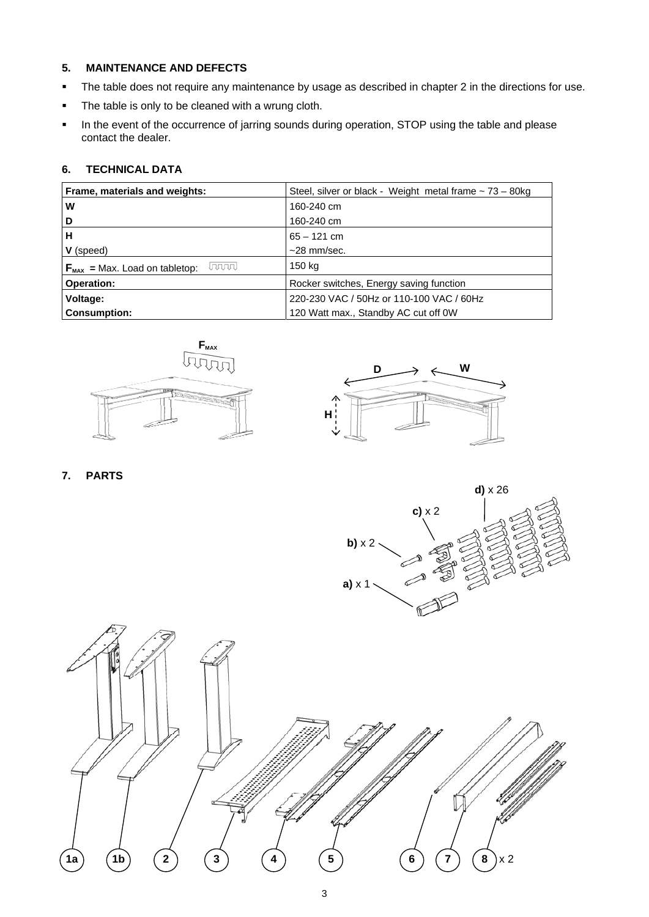#### **5. MAINTENANCE AND DEFECTS**

- The table does not require any maintenance by usage as described in chapter 2 in the directions for use.
- **The table is only to be cleaned with a wrung cloth.**
- **IF In the event of the occurrence of jarring sounds during operation, STOP using the table and please** contact the dealer.

#### **6. TECHNICAL DATA**

| Frame, materials and weights:                       | Steel, silver or black - Weight metal frame $\sim$ 73 - 80kg |
|-----------------------------------------------------|--------------------------------------------------------------|
| W                                                   | 160-240 cm                                                   |
| D                                                   | 160-240 cm                                                   |
| н                                                   | $65 - 121$ cm                                                |
| <b>V</b> (speed)                                    | $~28$ mm/sec.                                                |
| laaaal<br>$F_{\text{max}}$ = Max. Load on tabletop: | 150 kg                                                       |
| <b>Operation:</b>                                   | Rocker switches, Energy saving function                      |
| Voltage:                                            | 220-230 VAC / 50Hz or 110-100 VAC / 60Hz                     |
| <b>Consumption:</b>                                 | 120 Watt max., Standby AC cut off OW                         |





**7. PARTS** 

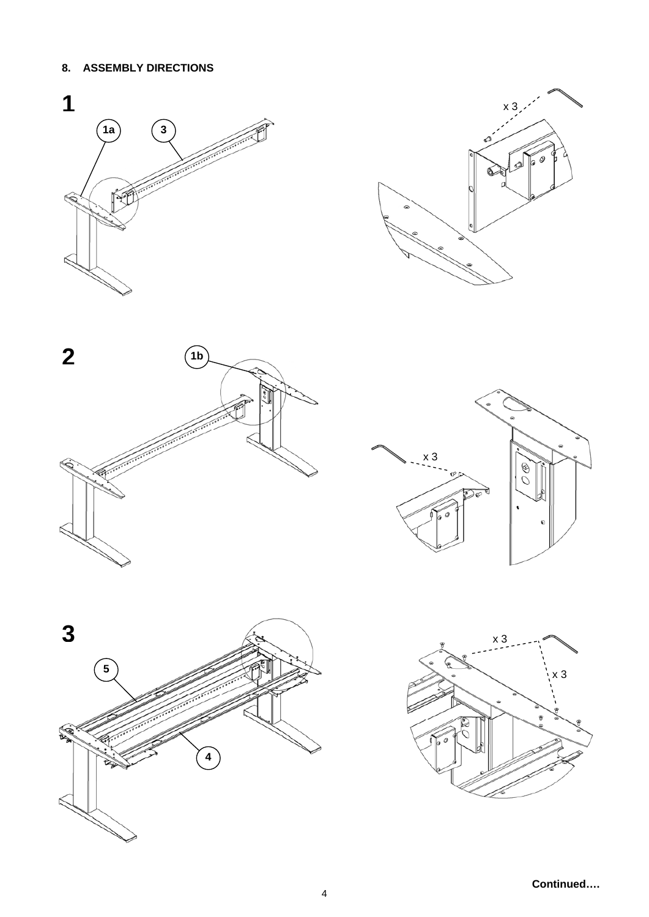## **8. ASSEMBLY DIRECTIONS**











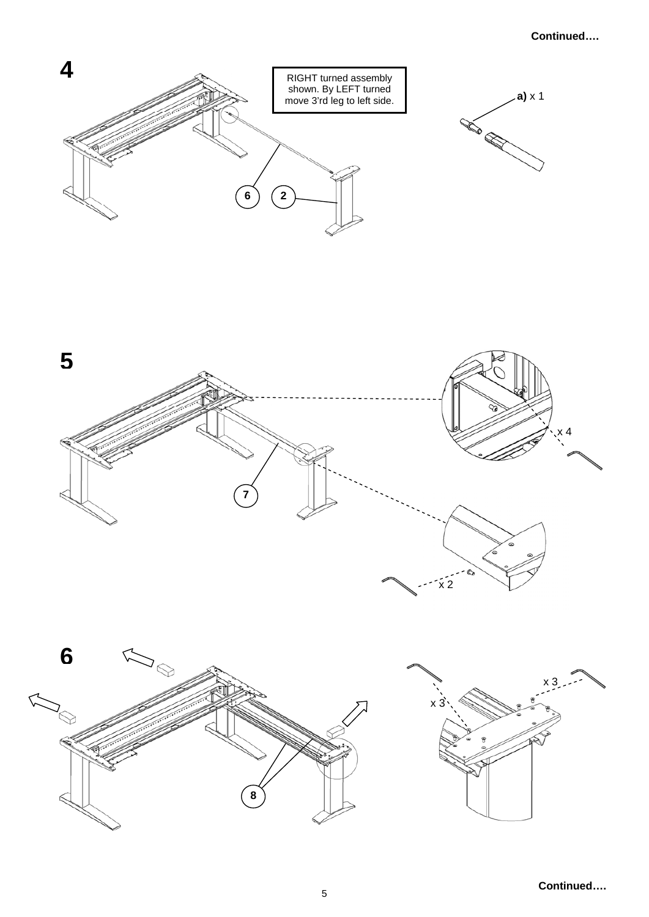## **Continued….**





**8** 

Κ